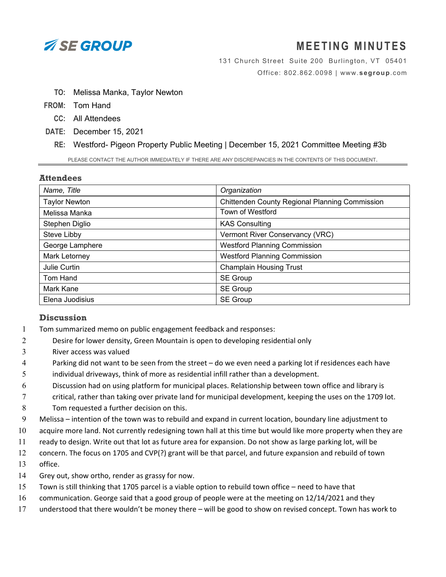

## **MEETING MINUTES**

131 Church Street Suite 200 Burlington, VT 05401 Office: 802.862.0098 | www.**segroup**.com

- **TO:** Melissa Manka, Taylor Newton
- **FROM:** Tom Hand
	- **CC:** All Attendees
- **DATE:** December 15, 2021
	- **RE:** Westford- Pigeon Property Public Meeting | December 15, 2021 Committee Meeting #3b

PLEASE CONTACT THE AUTHOR IMMEDIATELY IF THERE ARE ANY DISCREPANCIES IN THE CONTENTS OF THIS DOCUMENT.

## **Attendees**

| Name, Title          | Organization                                   |
|----------------------|------------------------------------------------|
| <b>Taylor Newton</b> | Chittenden County Regional Planning Commission |
| Melissa Manka        | <b>Town of Westford</b>                        |
| Stephen Diglio       | <b>KAS Consulting</b>                          |
| Steve Libby          | Vermont River Conservancy (VRC)                |
| George Lamphere      | <b>Westford Planning Commission</b>            |
| Mark Letorney        | <b>Westford Planning Commission</b>            |
| Julie Curtin         | <b>Champlain Housing Trust</b>                 |
| Tom Hand             | <b>SE Group</b>                                |
| Mark Kane            | SE Group                                       |
| Elena Juodisius      | SE Group                                       |

## **Discussion**

- 1 Tom summarized memo on public engagement feedback and responses:
- 2 Desire for lower density, Green Mountain is open to developing residential only
- 3 River access was valued
- 4 Parking did not want to be seen from the street do we even need a parking lot if residences each have
- 5 individual driveways, think of more as residential infill rather than a development.
- 6 Discussion had on using platform for municipal places. Relationship between town office and library is
- 7 critical, rather than taking over private land for municipal development, keeping the uses on the 1709 lot. 8 Tom requested a further decision on this.
- 9 Melissa intention of the town was to rebuild and expand in current location, boundary line adjustment to
- 10 acquire more land. Not currently redesigning town hall at this time but would like more property when they are
- 11 ready to design. Write out that lot as future area for expansion. Do not show as large parking lot, will be
- 12 concern. The focus on 1705 and CVP(?) grant will be that parcel, and future expansion and rebuild of town
- 13 office.
- 14 Grey out, show ortho, render as grassy for now.
- 15 Town is still thinking that 1705 parcel is a viable option to rebuild town office need to have that
- 16 communication. George said that a good group of people were at the meeting on 12/14/2021 and they
- 17 understood that there wouldn't be money there will be good to show on revised concept. Town has work to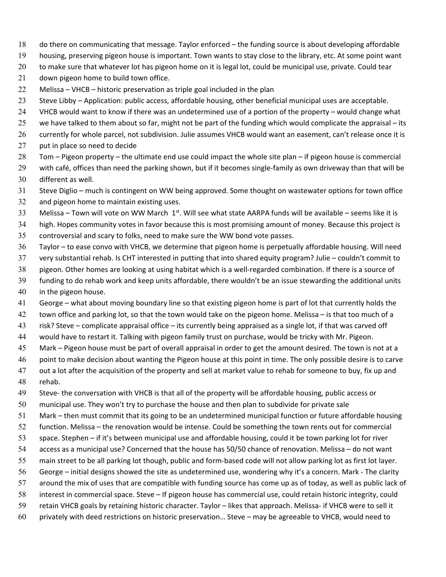- do there on communicating that message. Taylor enforced the funding source is about developing affordable
- housing, preserving pigeon house is important. Town wants to stay close to the library, etc. At some point want
- 20 to make sure that whatever lot has pigeon home on it is legal lot, could be municipal use, private. Could tear
- 21 down pigeon home to build town office.
- Melissa VHCB historic preservation as triple goal included in the plan
- Steve Libby Application: public access, affordable housing, other beneficial municipal uses are acceptable.
- VHCB would want to know if there was an undetermined use of a portion of the property would change what
- 25 we have talked to them about so far, might not be part of the funding which would complicate the appraisal its
- currently for whole parcel, not subdivision. Julie assumes VHCB would want an easement, can't release once it is
- 27 put in place so need to decide
- Tom Pigeon property the ultimate end use could impact the whole site plan if pigeon house is commercial
- 29 with café, offices than need the parking shown, but if it becomes single-family as own driveway than that will be different as well.
- Steve Diglio much is contingent on WW being approved. Some thought on wastewater options for town office
- and pigeon home to maintain existing uses.
- 33 Melissa Town will vote on WW March  $1<sup>st</sup>$ . Will see what state AARPA funds will be available seems like it is
- high. Hopes community votes in favor because this is most promising amount of money. Because this project is controversial and scary to folks, need to make sure the WW bond vote passes.
- Taylor to ease convo with VHCB, we determine that pigeon home is perpetually affordable housing. Will need
- very substantial rehab. Is CHT interested in putting that into shared equity program? Julie couldn't commit to
- pigeon. Other homes are looking at using habitat which is a well‐regarded combination. If there is a source of
- funding to do rehab work and keep units affordable, there wouldn't be an issue stewarding the additional units in the pigeon house.
- George what about moving boundary line so that existing pigeon home is part of lot that currently holds the
- town office and parking lot, so that the town would take on the pigeon home. Melissa is that too much of a
- risk? Steve complicate appraisal office its currently being appraised as a single lot, if that was carved off
- would have to restart it. Talking with pigeon family trust on purchase, would be tricky with Mr. Pigeon.
- Mark Pigeon house must be part of overall appraisal in order to get the amount desired. The town is not at a
- point to make decision about wanting the Pigeon house at this point in time. The only possible desire is to carve
- out a lot after the acquisition of the property and sell at market value to rehab for someone to buy, fix up and rehab.
- 49 Steve- the conversation with VHCB is that all of the property will be affordable housing, public access or
- municipal use. They won't try to purchase the house and then plan to subdivide for private sale
- Mark then must commit that its going to be an undetermined municipal function or future affordable housing
- function. Melissa the renovation would be intense. Could be something the town rents out for commercial
- space. Stephen if it's between municipal use and affordable housing, could it be town parking lot for river
- access as a municipal use? Concerned that the house has 50/50 chance of renovation. Melissa do not want
- 55 main street to be all parking lot though, public and form-based code will not allow parking lot as first lot layer.
- George initial designs showed the site as undetermined use, wondering why it's a concern. Mark ‐ The clarity
- around the mix of uses that are compatible with funding source has come up as of today, as well as public lack of
- interest in commercial space. Steve If pigeon house has commercial use, could retain historic integrity, could
- 59 retain VHCB goals by retaining historic character. Taylor likes that approach. Melissa- if VHCB were to sell it
- privately with deed restrictions on historic preservation… Steve may be agreeable to VHCB, would need to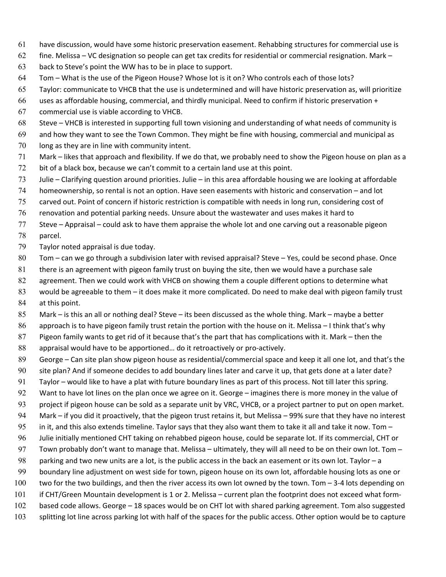- have discussion, would have some historic preservation easement. Rehabbing structures for commercial use is
- 62 fine. Melissa VC designation so people can get tax credits for residential or commercial resignation. Mark –
- back to Steve's point the WW has to be in place to support.
- Tom What is the use of the Pigeon House? Whose lot is it on? Who controls each of those lots?
- Taylor: communicate to VHCB that the use is undetermined and will have historic preservation as, will prioritize
- uses as affordable housing, commercial, and thirdly municipal. Need to confirm if historic preservation +
- commercial use is viable according to VHCB.
- Steve VHCB is interested in supporting full town visioning and understanding of what needs of community is
- and how they want to see the Town Common. They might be fine with housing, commercial and municipal as long as they are in line with community intent.
- Mark likes that approach and flexibility. If we do that, we probably need to show the Pigeon house on plan as a bit of a black box, because we can't commit to a certain land use at this point.
- Julie Clarifying question around priorities. Julie in this area affordable housing we are looking at affordable
- homeownership, so rental is not an option. Have seen easements with historic and conservation and lot
- carved out. Point of concern if historic restriction is compatible with needs in long run, considering cost of
- renovation and potential parking needs. Unsure about the wastewater and uses makes it hard to
- Steve Appraisal could ask to have them appraise the whole lot and one carving out a reasonable pigeon parcel.
- Taylor noted appraisal is due today.
- Tom can we go through a subdivision later with revised appraisal? Steve Yes, could be second phase. Once
- there is an agreement with pigeon family trust on buying the site, then we would have a purchase sale
- 82 agreement. Then we could work with VHCB on showing them a couple different options to determine what
- would be agreeable to them it does make it more complicated. Do need to make deal with pigeon family trust at this point.
- Mark is this an all or nothing deal? Steve its been discussed as the whole thing. Mark maybe a better approach is to have pigeon family trust retain the portion with the house on it. Melissa – I think that's why
- Pigeon family wants to get rid of it because that's the part that has complications with it. Mark then the
- 88 appraisal would have to be apportioned... do it retroactively or pro-actively.
- George Can site plan show pigeon house as residential/commercial space and keep it all one lot, and that's the
- site plan? And if someone decides to add boundary lines later and carve it up, that gets done at a later date?
- Taylor would like to have a plat with future boundary lines as part of this process. Not till later this spring.
- Want to have lot lines on the plan once we agree on it. George imagines there is more money in the value of
- 93 project if pigeon house can be sold as a separate unit by VRC, VHCB, or a project partner to put on open market. Mark – if you did it proactively, that the pigeon trust retains it, but Melissa – 99% sure that they have no interest
- 95 in it, and this also extends timeline. Taylor says that they also want them to take it all and take it now. Tom  $-$
- Julie initially mentioned CHT taking on rehabbed pigeon house, could be separate lot. If its commercial, CHT or
- 97 Town probably don't want to manage that. Melissa ultimately, they will all need to be on their own lot. Tom –
- parking and two new units are a lot, is the public access in the back an easement or its own lot. Taylor a
- boundary line adjustment on west side for town, pigeon house on its own lot, affordable housing lots as one or
- 100 two for the two buildings, and then the river access its own lot owned by the town. Tom 3-4 lots depending on
- if CHT/Green Mountain development is 1 or 2. Melissa current plan the footprint does not exceed what form‐
- based code allows. George 18 spaces would be on CHT lot with shared parking agreement. Tom also suggested
- 103 splitting lot line across parking lot with half of the spaces for the public access. Other option would be to capture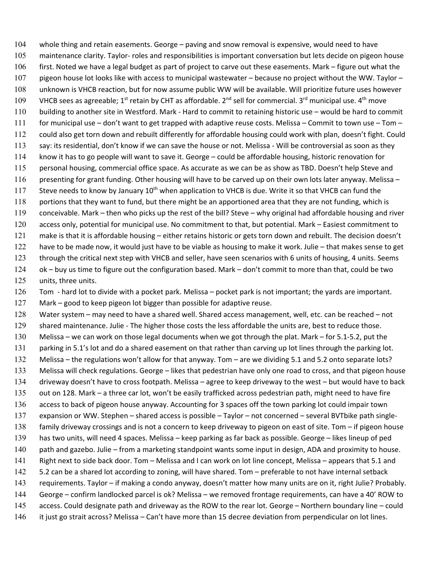whole thing and retain easements. George – paving and snow removal is expensive, would need to have maintenance clarity. Taylor‐ roles and responsibilities is important conversation but lets decide on pigeon house first. Noted we have a legal budget as part of project to carve out these easements. Mark – figure out what the pigeon house lot looks like with access to municipal wastewater – because no project without the WW. Taylor – unknown is VHCB reaction, but for now assume public WW will be available. Will prioritize future uses however 109 VHCB sees as agreeable; 1<sup>st</sup> retain by CHT as affordable. 2<sup>nd</sup> sell for commercial. 3<sup>rd</sup> municipal use. 4<sup>th</sup> move 110 building to another site in Westford. Mark - Hard to commit to retaining historic use – would be hard to commit for municipal use – don't want to get trapped with adaptive reuse costs. Melissa – Commit to town use – Tom – could also get torn down and rebuilt differently for affordable housing could work with plan, doesn't fight. Could 113 say: its residential, don't know if we can save the house or not. Melissa - Will be controversial as soon as they know it has to go people will want to save it. George – could be affordable housing, historic renovation for personal housing, commercial office space. As accurate as we can be as show as TBD. Doesn't help Steve and presenting for grant funding. Other housing will have to be carved up on their own lots later anyway. Melissa – 117 Steve needs to know by January 10<sup>th</sup> when application to VHCB is due. Write it so that VHCB can fund the 118 portions that they want to fund, but there might be an apportioned area that they are not funding, which is conceivable. Mark – then who picks up the rest of the bill? Steve – why original had affordable housing and river 120 access only, potential for municipal use. No commitment to that, but potential. Mark – Easiest commitment to make is that it is affordable housing – either retains historic or gets torn down and rebuilt. The decision doesn't have to be made now, it would just have to be viable as housing to make it work. Julie – that makes sense to get through the critical next step with VHCB and seller, have seen scenarios with 6 units of housing, 4 units. Seems ok – buy us time to figure out the configuration based. Mark – don't commit to more than that, could be two units, three units.

126 Tom - hard lot to divide with a pocket park. Melissa – pocket park is not important; the yards are important.

Mark – good to keep pigeon lot bigger than possible for adaptive reuse.

Water system – may need to have a shared well. Shared access management, well, etc. can be reached – not 129 shared maintenance. Julie - The higher those costs the less affordable the units are, best to reduce those. Melissa – we can work on those legal documents when we got through the plat. Mark – for 5.1‐5.2, put the parking in 5.1's lot and do a shared easement on that rather than carving up lot lines through the parking lot. Melissa – the regulations won't allow for that anyway. Tom – are we dividing 5.1 and 5.2 onto separate lots? Melissa will check regulations. George – likes that pedestrian have only one road to cross, and that pigeon house driveway doesn't have to cross footpath. Melissa – agree to keep driveway to the west – but would have to back 135 out on 128. Mark – a three car lot, won't be easily trafficked across pedestrian path, might need to have fire access to back of pigeon house anyway. Accounting for 3 spaces off the town parking lot could impair town expansion or WW. Stephen – shared access is possible – Taylor – not concerned – several BVTbike path single‐ family driveway crossings and is not a concern to keep driveway to pigeon on east of site. Tom – if pigeon house has two units, will need 4 spaces. Melissa – keep parking as far back as possible. George – likes lineup of ped path and gazebo. Julie – from a marketing standpoint wants some input in design, ADA and proximity to house. Right next to side back door. Tom – Melissa and I can work on lot line concept, Melissa – appears that 5.1 and 5.2 can be a shared lot according to zoning, will have shared. Tom – preferable to not have internal setback requirements. Taylor – if making a condo anyway, doesn't matter how many units are on it, right Julie? Probably. George – confirm landlocked parcel is ok? Melissa – we removed frontage requirements, can have a 40' ROW to access. Could designate path and driveway as the ROW to the rear lot. George – Northern boundary line – could 146 it just go strait across? Melissa – Can't have more than 15 decree deviation from perpendicular on lot lines.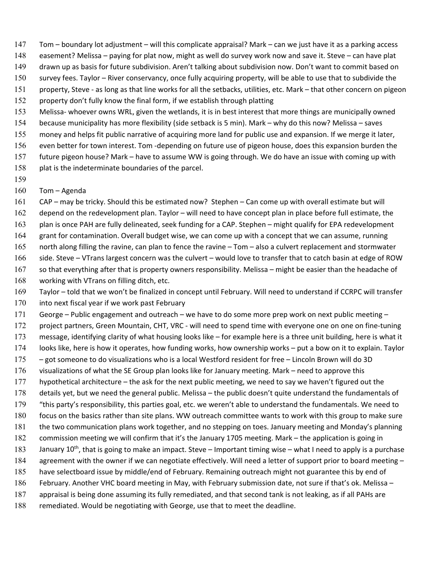- Tom boundary lot adjustment will this complicate appraisal? Mark can we just have it as a parking access
- easement? Melissa paying for plat now, might as well do survey work now and save it. Steve can have plat
- drawn up as basis for future subdivision. Aren't talking about subdivision now. Don't want to commit based on
- survey fees. Taylor River conservancy, once fully acquiring property, will be able to use that to subdivide the
- 151 property, Steve as long as that line works for all the setbacks, utilities, etc. Mark that other concern on pigeon
- property don't fully know the final form, if we establish through platting
- 153 Melissa- whoever owns WRL, given the wetlands, it is in best interest that more things are municipally owned
- because municipality has more flexibility (side setback is 5 min). Mark why do this now? Melissa saves
- money and helps fit public narrative of acquiring more land for public use and expansion. If we merge it later,
- even better for town interest. Tom ‐depending on future use of pigeon house, does this expansion burden the
- future pigeon house? Mark have to assume WW is going through. We do have an issue with coming up with
- plat is the indeterminate boundaries of the parcel.
- 
- Tom Agenda
- CAP may be tricky. Should this be estimated now? Stephen Can come up with overall estimate but will
- depend on the redevelopment plan. Taylor will need to have concept plan in place before full estimate, the
- 163 plan is once PAH are fully delineated, seek funding for a CAP. Stephen might qualify for EPA redevelopment
- grant for contamination. Overall budget wise, we can come up with a concept that we can assume, running
- north along filling the ravine, can plan to fence the ravine Tom also a culvert replacement and stormwater
- side. Steve VTrans largest concern was the culvert would love to transfer that to catch basin at edge of ROW
- so that everything after that is property owners responsibility. Melissa might be easier than the headache of working with VTrans on filling ditch, etc.
- Taylor told that we won't be finalized in concept until February. Will need to understand if CCRPC will transfer 170 into next fiscal year if we work past February
- George Public engagement and outreach we have to do some more prep work on next public meeting –
- 172 project partners, Green Mountain, CHT, VRC will need to spend time with everyone one on one on fine-tuning
- message, identifying clarity of what housing looks like for example here is a three unit building, here is what it
- looks like, here is how it operates, how funding works, how ownership works put a bow on it to explain. Taylor
- got someone to do visualizations who is a local Westford resident for free Lincoln Brown will do 3D
- visualizations of what the SE Group plan looks like for January meeting. Mark need to approve this
- hypothetical architecture the ask for the next public meeting, we need to say we haven't figured out the
- details yet, but we need the general public. Melissa the public doesn't quite understand the fundamentals of
- "this party's responsibility, this parties goal, etc. we weren't able to understand the fundamentals. We need to
- focus on the basics rather than site plans. WW outreach committee wants to work with this group to make sure the two communication plans work together, and no stepping on toes. January meeting and Monday's planning
- commission meeting we will confirm that it's the January 1705 meeting. Mark the application is going in
- January  $10^{th}$ , that is going to make an impact. Steve Important timing wise what I need to apply is a purchase
- 184 agreement with the owner if we can negotiate effectively. Will need a letter of support prior to board meeting -
- have selectboard issue by middle/end of February. Remaining outreach might not guarantee this by end of
- February. Another VHC board meeting in May, with February submission date, not sure if that's ok. Melissa –
- appraisal is being done assuming its fully remediated, and that second tank is not leaking, as if all PAHs are
- remediated. Would be negotiating with George, use that to meet the deadline.